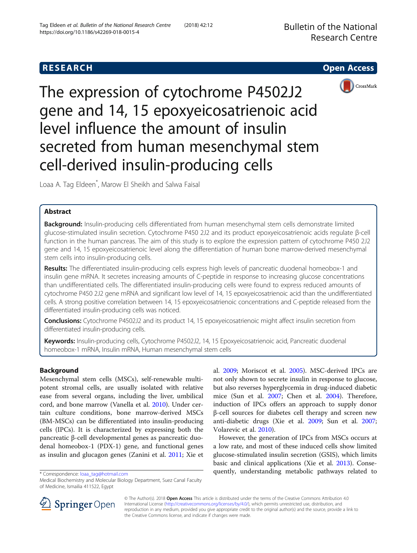# **RESEARCH CHE Open Access**



The expression of cytochrome P4502J2 gene and 14, 15 epoxyeicosatrienoic acid level influence the amount of insulin secreted from human mesenchymal stem cell-derived insulin-producing cells

Loaa A. Tag Eldeen\* , Marow El Sheikh and Salwa Faisal

# Abstract

Background: Insulin-producing cells differentiated from human mesenchymal stem cells demonstrate limited glucose-stimulated insulin secretion. Cytochrome P450 2J2 and its product epoxyeicosatrienoic acids regulate β-cell function in the human pancreas. The aim of this study is to explore the expression pattern of cytochrome P450 2J2 gene and 14, 15 epoxyeicosatrienoic level along the differentiation of human bone marrow-derived mesenchymal stem cells into insulin-producing cells.

Results: The differentiated insulin-producing cells express high levels of pancreatic duodenal homeobox-1 and insulin gene mRNA. It secretes increasing amounts of C-peptide in response to increasing glucose concentrations than undifferentiated cells. The differentiated insulin-producing cells were found to express reduced amounts of cytochrome P450 2J2 gene mRNA and significant low level of 14, 15 epoxyeicosatrienoic acid than the undifferentiated cells. A strong positive correlation between 14, 15 epoxyeicosatrienoic concentrations and C-peptide released from the differentiated insulin-producing cells was noticed.

Conclusions: Cytochrome P4502J2 and its product 14, 15 epoxyeicosatrienoic might affect insulin secretion from differentiated insulin-producing cells.

Keywords: Insulin-producing cells, Cytochrome P4502J2, 14, 15 Epoxyeicosatrienoic acid, Pancreatic duodenal homeobox-1 mRNA, Insulin mRNA, Human mesenchymal stem cells

# Background

Mesenchymal stem cells (MSCs), self-renewable multipotent stromal cells, are usually isolated with relative ease from several organs, including the liver, umbilical cord, and bone marrow (Vanella et al. [2010\)](#page-7-0). Under certain culture conditions, bone marrow-derived MSCs (BM-MSCs) can be differentiated into insulin-producing cells (IPCs). It is characterized by expressing both the pancreatic β-cell developmental genes as pancreatic duodenal homeobox-1 (PDX-1) gene, and functional genes as insulin and glucagon genes (Zanini et al. [2011](#page-7-0); Xie et

Medical Biochemistry and Molecular Biology Department, Suez Canal Faculty of Medicine, Ismailia 411522, Egypt

al. [2009](#page-7-0); Moriscot et al. [2005\)](#page-6-0). MSC-derived IPCs are not only shown to secrete insulin in response to glucose, but also reverses hyperglycemia in drug-induced diabetic mice (Sun et al. [2007](#page-7-0); Chen et al. [2004](#page-6-0)). Therefore, induction of IPCs offers an approach to supply donor β-cell sources for diabetes cell therapy and screen new anti-diabetic drugs (Xie et al. [2009;](#page-7-0) Sun et al. [2007](#page-7-0); Volarevic et al. [2010](#page-7-0)).

However, the generation of IPCs from MSCs occurs at a low rate, and most of these induced cells show limited glucose-stimulated insulin secretion (GSIS), which limits basic and clinical applications (Xie et al. [2013](#page-7-0)). Conse\* Correspondence: [loaa\\_tag@hotmail.com](mailto:loaa_tag@hotmail.com) **quently, understanding metabolic pathways related to** 



© The Author(s). 2018 Open Access This article is distributed under the terms of the Creative Commons Attribution 4.0 International License ([http://creativecommons.org/licenses/by/4.0/\)](http://creativecommons.org/licenses/by/4.0/), which permits unrestricted use, distribution, and reproduction in any medium, provided you give appropriate credit to the original author(s) and the source, provide a link to the Creative Commons license, and indicate if changes were made.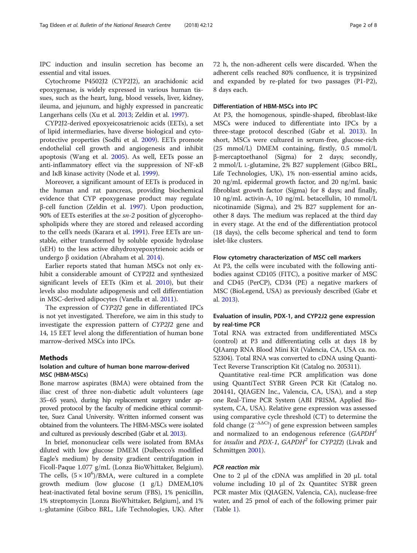IPC induction and insulin secretion has become an essential and vital issues.

Cytochrome P4502J2 (CYP2J2), an arachidonic acid epoxygenase, is widely expressed in various human tissues, such as the heart, lung, blood vessels, liver, kidney, ileuma, and jejunum, and highly expressed in pancreatic Langerhans cells (Xu et al. [2013;](#page-7-0) Zeldin et al. [1997](#page-7-0)).

CYP2J2-derived epoxyeicosatrienoic acids (EETs), a set of lipid intermediaries, have diverse biological and cytoprotective properties (Sodhi et al. [2009\)](#page-7-0). EETs promote endothelial cell growth and angiogenesis and inhibit apoptosis (Wang et al. [2005\)](#page-7-0). As well, EETs posse an anti-inflammatory effect via the suppression of NF-ĸB and IĸB kinase activity (Node et al. [1999\)](#page-6-0).

Moreover, a significant amount of EETs is produced in the human and rat pancreas, providing biochemical evidence that CYP epoxygenase product may regulate β-cell function (Zeldin et al. [1997\)](#page-7-0). Upon production, 90% of EETs esterifies at the sn-2 position of glycerophospholipids where they are stored and released according to the cell's needs (Karara et al. [1991](#page-6-0)). Free EETs are unstable, either transformed by soluble epoxide hydrolase (sEH) to the less active dihydroxyepoxytrienoic acids or undergo β oxidation (Abraham et al. [2014](#page-6-0)).

Earlier reports stated that human MSCs not only exhibit a considerable amount of CYP2J2 and synthesized significant levels of EETs (Kim et al. [2010](#page-6-0)), but their levels also modulate adipogenesis and cell differentiation in MSC-derived adipocytes (Vanella et al. [2011\)](#page-7-0).

The expression of CYP2J2 gene in differentiated IPCs is not yet investigated. Therefore, we aim in this study to investigate the expression pattern of CYP2J2 gene and 14, 15 EET level along the differentiation of human bone marrow-derived MSCs into IPCs.

# Methods

# Isolation and culture of human bone marrow-derived MSC (HBM-MSCs)

Bone marrow aspirates (BMA) were obtained from the iliac crest of three non-diabetic adult volunteers (age 35–65 years), during hip replacement surgery under approved protocol by the faculty of medicine ethical committee, Suez Canal University. Written informed consent was obtained from the volunteers. The HBM-MSCs were isolated and cultured as previously described (Gabr et al. [2013\)](#page-6-0).

In brief, mononuclear cells were isolated from BMAs diluted with low glucose DMEM (Dulbecco's modified Eagle's medium) by density gradient centrifugation in Ficoll-Paque 1.077 g/mL (Lonza BioWhittaker, Belgium). The cells,  $(5 \times 10^6)/BMA$ , were cultured in a complete growth medium (low glucose (1 g/L) DMEM,10% heat-inactivated fetal bovine serum (FBS), 1% penicillin, 1% streptomycin [Lonza BioWhittaker, Belgium], and 1% L-glutamine (Gibco BRL, Life Technologies, UK). After 72 h, the non-adherent cells were discarded. When the adherent cells reached 80% confluence, it is trypsinized and expanded by re-plated for two passages (P1-P2), 8 days each.

### Differentiation of HBM-MSCs into IPC

At P3, the homogenous, spindle-shaped, fibroblast-like MSCs were induced to differentiate into IPCs by a three-stage protocol described (Gabr et al. [2013\)](#page-6-0). In short, MSCs were cultured in serum-free, glucose-rich (25 mmol/L) DMEM containing, firstly, 0.5 mmol/L β-mercaptoethanol (Sigma) for 2 days; secondly, 2 mmol/L L-glutamine, 2% B27 supplement (Gibco BRL, Life Technologies, UK), 1% non-essential amino acids, 20 ng/mL epidermal growth factor, and 20 ng/mL basic fibroblast growth factor (Sigma) for 8 days; and finally, 10 ng/mL activin-A, 10 ng/mL betacellulin, 10 mmol/L nicotinamide (Sigma), and 2% B27 supplement for another 8 days. The medium was replaced at the third day in every stage. At the end of the differentiation protocol (18 days), the cells become spherical and tend to form islet-like clusters.

#### Flow cytometry characterization of MSC cell markers

At P3, the cells were incubated with the following antibodies against CD105 (FITC), a positive marker of MSC and CD45 (PerCP), CD34 (PE) a negative markers of MSC (BioLegend, USA) as previously described (Gabr et al. [2013](#page-6-0)).

# Evaluation of insulin, PDX-1, and CYP2J2 gene expression by real-time PCR

Total RNA was extracted from undifferentiated MSCs (control) at P3 and differentiating cells at days 18 by QIAamp RNA Blood Mini Kit (Valencia, CA, USA ca. no. 52304). Total RNA was converted to cDNA using Quanti-Tect Reverse Transcription Kit (Catalog no. 205311).

Quantitative real-time PCR amplification was done using QuantiTect SYBR Green PCR Kit (Catalog no. 204141, QIAGEN Inc., Valencia, CA, USA), and a step one Real-Time PCR System (ABI PRISM, Applied Biosystem, CA, USA). Relative gene expression was assessed using comparative cycle threshold (CT) to determine the fold change  $(2^{-\Delta\Delta Ct})$  of gene expression between samples and normalized to an endogenous reference  $(GAPDH<sup>1</sup>)$ for *insulin* and *PDX-1*,  $GAPDH^2$  for  $CYP2J2$ ) (Livak and Schmittgen [2001\)](#page-6-0).

### PCR reaction mix

One to 2 μl of the cDNA was amplified in 20 μL total volume including 10 μl of 2x Quantitec SYBR green PCR master Mix (QIAGEN, Valencia, CA), nuclease-free water, and 25 pmol of each of the following primer pair (Table [1\)](#page-2-0).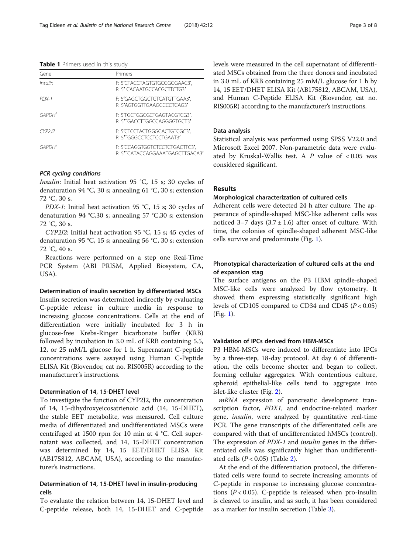#### <span id="page-2-0"></span>Table 1 Primers used in this study

| Gene               | Primers                                                          |
|--------------------|------------------------------------------------------------------|
| Insulin            | F: 5'CTACCTAGTGTGCGGGGAAC3',<br>R: 5' CACAATGCCACGCTTCTG3'       |
| $PDX-1$            | F: 5'GAGCTGGCTGTCATGTTGAA3',<br>R: 5'AGTGGTTGAAGCCCCTCAG3'       |
| GAPDH <sup>1</sup> | F: 5TGCTGGCGCTGAGTACGTCG3',<br>R: 57GACCTTGGCCAGGGGTGCT3'        |
| (YP212)            | F: 5'CTCCTACTGGGCACTGTCGC3',<br>R: 57GGGCCTCCTCCTGAAT3'          |
| GAPDH <sup>2</sup> | F: 5'CCAGGTGGTCTCCTCTGACTTC3',<br>R: 5TCATACCAGGAAATGAGCTTGACA3' |

### PCR cycling conditions

Insulin: Initial heat activation 95 °C, 15 s; 30 cycles of denaturation 94 °C, 30 s; annealing 61 °C, 30 s; extension 72 °C, 30 s.

PDX-1: Initial heat activation 95 °C, 15 s; 30 cycles of denaturation 94 °C,30 s; annealing 57 °C,30 s; extension 72 °C, 30 s.

CYP2J2: Initial heat activation 95 °C, 15 s; 45 cycles of denaturation 95 °C, 15 s; annealing 56 °C, 30 s; extension 72 °C, 40 s.

Reactions were performed on a step one Real-Time PCR System (ABI PRISM, Applied Biosystem, CA, USA).

#### Determination of insulin secretion by differentiated MSCs

Insulin secretion was determined indirectly by evaluating C-peptide release in culture media in response to increasing glucose concentrations. Cells at the end of differentiation were initially incubated for 3 h in glucose-free Krebs-Ringer bicarbonate buffer (KRB) followed by incubation in 3.0 mL of KRB containing 5.5, 12, or 25 mM/L glucose for 1 h. Supernatant C-peptide concentrations were assayed using Human C-Peptide ELISA Kit (Biovendor, cat no. RIS005R) according to the manufacturer's instructions.

### Determination of 14, 15-DHET level

To investigate the function of CYP2J2, the concentration of 14, 15-dihydroxyeicosatrienoic acid (14, 15-DHET), the stable EET metabolite, was measured. Cell culture media of differentiated and undifferentiated MSCs were centrifuged at 1500 rpm for 10 min at 4 °C. Cell supernatant was collected, and 14, 15-DHET concentration was determined by 14, 15 EET/DHET ELISA Kit (AB175812, ABCAM, USA), according to the manufacturer's instructions.

# Determination of 14, 15-DHET level in insulin-producing cells

To evaluate the relation between 14, 15-DHET level and C-peptide release, both 14, 15-DHET and C-peptide levels were measured in the cell supernatant of differentiated MSCs obtained from the three donors and incubated in 3.0 mL of KRB containing 25 mM/L glucose for 1 h by 14, 15 EET/DHET ELISA Kit (AB175812, ABCAM, USA), and Human C-Peptide ELISA Kit (Biovendor, cat no. RIS005R) according to the manufacturer's instructions.

### Data analysis

Statistical analysis was performed using SPSS V22.0 and Microsoft Excel 2007. Non-parametric data were evaluated by Kruskal-Wallis test. A  $P$  value of  $< 0.05$  was considered significant.

### Results

# Morphological characterization of cultured cells

Adherent cells were detected 24 h after culture. The appearance of spindle-shaped MSC-like adherent cells was noticed 3–7 days  $(3.7 \pm 1.6)$  after onset of culture. With time, the colonies of spindle-shaped adherent MSC-like cells survive and predominate (Fig. [1\)](#page-3-0).

# Phonotypical characterization of cultured cells at the end of expansion stag

The surface antigens on the P3 HBM spindle-shaped MSC-like cells were analyzed by flow cytometry. It showed them expressing statistically significant high levels of CD105 compared to CD34 and CD45 ( $P < 0.05$ ) (Fig. [1](#page-3-0)).

# Validation of IPCs derived from HBM-MSCs

P3 HBM-MSCs were induced to differentiate into IPCs by a three-step, 18-day protocol. At day 6 of differentiation, the cells become shorter and began to collect, forming cellular aggregates. With contentious culture, spheroid epithelial-like cells tend to aggregate into islet-like cluster (Fig. [2\)](#page-3-0).

mRNA expression of pancreatic development transcription factor, PDX1, and endocrine-related marker gene, *insulin*, were analyzed by quantitative real-time PCR. The gene transcripts of the differentiated cells are compared with that of undifferentiated hMSCs (control). The expression of *PDX-1* and *insulin* genes in the differentiated cells was significantly higher than undifferentiated cells  $(P < 0.05)$  (Table [2\)](#page-4-0).

At the end of the differentiation protocol, the differentiated cells were found to secrete increasing amounts of C-peptide in response to increasing glucose concentrations  $(P < 0.05)$ . C-peptide is released when pro-insulin is cleaved to insulin, and as such, it has been considered as a marker for insulin secretion (Table [3\)](#page-4-0).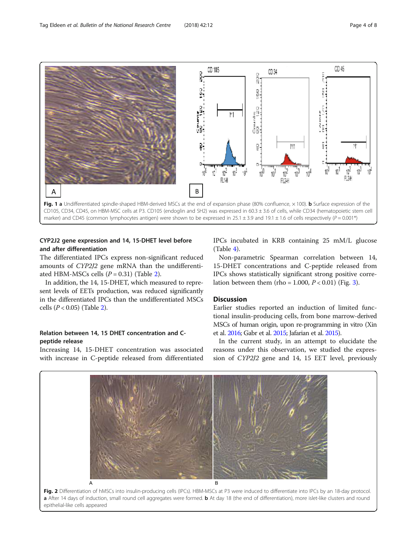<span id="page-3-0"></span>

# CYP2J2 gene expression and 14, 15-DHET level before and after differentiation

The differentiated IPCs express non-significant reduced amounts of CYP2J2 gene mRNA than the undifferentiated HBM-MSCs cells  $(P = 0.31)$  (Table [2](#page-4-0)).

In addition, the 14, 15-DHET, which measured to represent levels of EETs production, was reduced significantly in the differentiated IPCs than the undifferentiated MSCs cells ( $P < 0.05$ ) (Table [2\)](#page-4-0).

# Relation between 14, 15 DHET concentration and Cpeptide release

Increasing 14, 15-DHET concentration was associated with increase in C-peptide released from differentiated IPCs incubated in KRB containing 25 mM/L glucose (Table [4\)](#page-4-0).

Non-parametric Spearman correlation between 14, 15-DHET concentrations and C-peptide released from IPCs shows statistically significant strong positive correlation between them (rho = 1.000,  $P < 0.01$ ) (Fig. [3\)](#page-4-0).

# **Discussion**

Earlier studies reported an induction of limited functional insulin-producing cells, from bone marrow-derived MSCs of human origin, upon re-programming in vitro (Xin et al. [2016;](#page-7-0) Gabr et al. [2015;](#page-6-0) Jafarian et al. [2015](#page-6-0)).

In the current study, in an attempt to elucidate the reasons under this observation, we studied the expression of CYP2J2 gene and 14, 15 EET level, previously



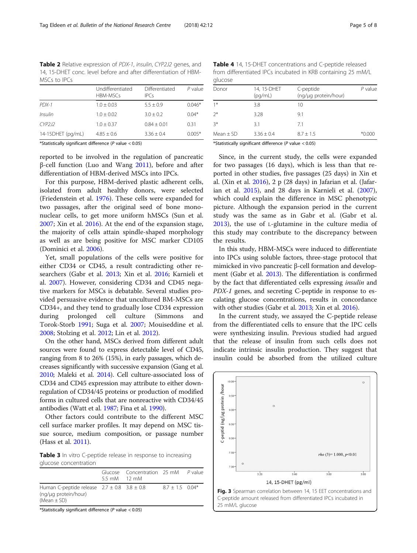<span id="page-4-0"></span>Table 2 Relative expression of PDX-1, insulin, CYP2J2 genes, and 14, 15-DHET conc. level before and after differentiation of HBM-MSCs to IPCs

|                   | Undifferentiated<br>HBM-MSCs | Differentiated<br>IPCs | $P$ value |
|-------------------|------------------------------|------------------------|-----------|
| $PDX-1$           | $1.0 \pm 0.03$               | $5.5 + 0.9$            | $0.046*$  |
| Insulin           | $1.0 + 0.02$                 | $3.0 + 0.2$            | $0.04*$   |
| CYP212            | $1.0 + 0.37$                 | $0.84 + 0.01$          | 0.31      |
| 14-15DHET (pg/mL) | $4.85 + 0.6$                 | $3.36 + 0.4$           | $0.005*$  |

\*Statistically significant difference ( $P$  value < 0.05)

reported to be involved in the regulation of pancreatic β-cell function (Luo and Wang [2011](#page-6-0)), before and after differentiation of HBM-derived MSCs into IPCs.

For this purpose, HBM-derived plastic adherent cells, isolated from adult healthy donors, were selected (Friedenstein et al. [1976](#page-6-0)). These cells were expanded for two passages, after the original seed of bone mononuclear cells, to get more uniform hMSCs (Sun et al. [2007](#page-7-0); Xin et al. [2016\)](#page-7-0). At the end of the expansion stage, the majority of cells attain spindle-shaped morphology as well as are being positive for MSC marker CD105 (Dominici et al. [2006\)](#page-6-0).

Yet, small populations of the cells were positive for either CD34 or CD45, a result contradicting other researchers (Gabr et al. [2013;](#page-6-0) Xin et al. [2016](#page-7-0); Karnieli et al. [2007\)](#page-6-0). However, considering CD34 and CD45 negative markers for MSCs is debatable. Several studies provided persuasive evidence that uncultured BM-MSCs are CD34+, and they tend to gradually lose CD34 expression during prolonged cell culture (Simmons and Torok-Storb [1991](#page-7-0); Suga et al. [2007;](#page-7-0) Mouiseddine et al. [2008](#page-6-0); Stolzing et al. [2012](#page-7-0); Lin et al. [2012](#page-6-0)).

On the other hand, MSCs derived from different adult sources were found to express detectable level of CD45, ranging from 8 to 26% (15%), in early passages, which decreases significantly with successive expansion (Gang et al. [2010;](#page-6-0) Maleki et al. [2014\)](#page-6-0). Cell culture-associated loss of CD34 and CD45 expression may attribute to either downregulation of CD34/45 proteins or production of modified forms in cultured cells that are nonreactive with CD34/45 antibodies (Watt et al. [1987;](#page-7-0) Fina et al. [1990](#page-6-0)).

Other factors could contribute to the different MSC cell surface marker profiles. It may depend on MSC tissue source, medium composition, or passage number (Hass et al. [2011\)](#page-6-0).

Table 3 In vitro C-peptide release in response to increasing glucose concentration

|                                                                                                | $5.5 \text{ mM}$ 12 mM | Glucose Concentration 25 mM P value |                   |  |
|------------------------------------------------------------------------------------------------|------------------------|-------------------------------------|-------------------|--|
| Human C-peptide release $2.7 \pm 0.8$ 3.8 $\pm$ 0.8<br>(ng/µg protein/hour)<br>$(Mean \pm SD)$ |                        |                                     | $8.7 + 1.5$ 0.04* |  |

\*Statistically significant difference (P value < 0.05)

Table 4 14, 15-DHET concentrations and C-peptide released from differentiated IPCs incubated in KRB containing 25 mM/L glucose

| giacosc       |                        |                                   |           |
|---------------|------------------------|-----------------------------------|-----------|
| Donor         | 14, 15-DHET<br>(pq/mL) | C-peptide<br>(ng/µg protein/hour) | $P$ value |
| $1*$          | 3.8                    | 10                                |           |
| $2^*$         | 3.28                   | 9.1                               |           |
| $3*$          | 3.1                    | 7.1                               |           |
| Mean $\pm$ SD | $3.36 \pm 0.4$         | $8.7 \pm 1.5$                     | $*0.000$  |
|               |                        | .                                 |           |

\*Statistically significant difference (P value < 0.05)

Since, in the current study, the cells were expanded for two passages (16 days), which is less than that reported in other studies, five passages (25 days) in Xin et al. (Xin et al. [2016](#page-7-0)), 2 p (28 days) in Jafarian et al. (Jafarian et al. [2015\)](#page-6-0), and 28 days in Karnieli et al. ([2007](#page-6-0)), which could explain the difference in MSC phenotypic picture. Although the expansion period in the current study was the same as in Gabr et al. (Gabr et al. [2013\)](#page-6-0), the use of L-glutamine in the culture media of this study may contribute to the discrepancy between the results.

In this study, HBM-MSCs were induced to differentiate into IPCs using soluble factors, three-stage protocol that mimicked in vivo pancreatic β-cell formation and development (Gabr et al. [2013](#page-6-0)). The differentiation is confirmed by the fact that differentiated cells expressing insulin and PDX-1 genes, and secreting C-peptide in response to escalating glucose concentrations, results in concordance with other studies (Gabr et al. [2013;](#page-6-0) Xin et al. [2016](#page-7-0)).

In the current study, we assayed the C-peptide release from the differentiated cells to ensure that the IPC cells were synthesizing insulin. Previous studied had argued that the release of insulin from such cells does not indicate intrinsic insulin production. They suggest that insulin could be absorbed from the utilized culture

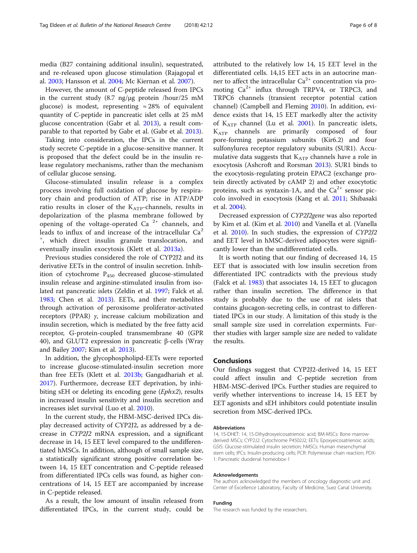media (B27 containing additional insulin), sequestrated, and re-released upon glucose stimulation (Rajagopal et al. [2003](#page-6-0); Hansson et al. [2004](#page-6-0); Mc Kiernan et al. [2007](#page-6-0)).

However, the amount of C-peptide released from IPCs in the current study (8.7 ng/μg protein /hour/25 mM glucose) is modest, representing  $\approx 28\%$  of equivalent quantity of C-peptide in pancreatic islet cells at 25 mM glucose concentration (Gabr et al. [2013](#page-6-0)), a result comparable to that reported by Gabr et al. (Gabr et al. [2013\)](#page-6-0).

Taking into consideration, the IPCs in the current study secrete C-peptide in a glucose-sensitive manner. It is proposed that the defect could be in the insulin release regulatory mechanisms, rather than the mechanism of cellular glucose sensing.

Glucose-stimulated insulin release is a complex process involving full oxidation of glucose by respiratory chain and production of ATP; rise in ATP/ADP ratio results in closer of the  $K_{ATP}$ -channels, results in depolarization of the plasma membrane followed by opening of the voltage-operated Ca<sup>2+</sup> channels, and leads to influx of and increase of the intracellular  $Ca<sup>2</sup>$ + , which direct insulin granule translocation, and eventually insulin exocytosis (Klett et al. [2013a](#page-6-0)).

Previous studies considered the role of CYP2J2 and its derivative EETs in the control of insulin secretion. Inhibition of cytochrome  $P_{450}$  decreased glucose-stimulated insulin release and arginine-stimulated insulin from isolated rat pancreatic islets (Zeldin et al. [1997](#page-7-0); Falck et al. [1983](#page-6-0); Chen et al. [2013\)](#page-6-0). EETs, and their metabolites through activation of peroxisome proliferator-activated receptors (PPAR) γ, increase calcium mobilization and insulin secretion, which is mediated by the free fatty acid receptor, G-protein-coupled transmembrane 40 (GPR 40), and GLUT2 expression in pancreatic β-cells (Wray and Bailey [2007](#page-7-0); Kim et al. [2013\)](#page-6-0).

In addition, the glycophospholipd-EETs were reported to increase glucose-stimulated-insulin secretion more than free EETs (Klett et al. [2013b;](#page-6-0) Gangadhariah et al. [2017](#page-6-0)). Furthermore, decrease EET deprivation, by inhibiting sEH or deleting its encoding gene (Ephx2), results in increased insulin sensitivity and insulin secretion and increases islet survival (Luo et al. [2010\)](#page-6-0).

In the current study, the HBM-MSC-derived IPCs display decreased activity of CYP2J2, as addressed by a decrease in CYP2J2 mRNA expression, and a significant decrease in 14, 15 EET level compared to the undifferentiated hMSCs. In addition, although of small sample size, a statistically significant strong positive correlation between 14, 15 EET concentration and C-peptide released from differentiated IPCs cells was found, as higher concentrations of 14, 15 EET are accompanied by increase in C-peptide released.

As a result, the low amount of insulin released from differentiated IPCs, in the current study, could be attributed to the relatively low 14, 15 EET level in the differentiated cells. 14,15 EET acts in an autocrine manner to affect the intracellular  $Ca^{2+}$  concentration via promoting Ca<sup>2+</sup> influx through TRPV4, or TRPC3, and TRPC6 channels (transient receptor potential cation channel) (Campbell and Fleming [2010](#page-6-0)). In addition, evidence exists that 14, 15 EET markedly alter the activity of  $K_{ATP}$  channel (Lu et al. [2001\)](#page-6-0). In pancreatic islets,  $K_{ATP}$  channels are primarily composed of four pore-forming potassium subunits (Kir6.2) and four sulfonylurea receptor regulatory subunits (SUR1). Accumulative data suggests that  $K_{ATP}$  channels have a role in exocytosis (Ashcroft and Rorsman [2013\)](#page-6-0). SUR1 binds to the exocytosis-regulating protein EPAC2 (exchange protein directly activated by cAMP 2) and other exocytotic proteins, such as syntaxin-1A, and the  $Ca^{2+}$  sensor piccolo involved in exocytosis (Kang et al. [2011](#page-6-0); Shibasaki et al. [2004\)](#page-6-0).

Decreased expression of CYP2J2gene was also reported by Kim et al. (Kim et al. [2010\)](#page-6-0) and Vanella et al. (Vanella et al. [2010\)](#page-7-0). In such studies, the expression of CYP2J2 and EET level in hMSC-derived adipocytes were significantly lower than the undifferentiated cells.

It is worth noting that our finding of decreased 14, 15 EET that is associated with low insulin secretion from differentiated IPC contradicts with the previous study (Falck et al. [1983](#page-6-0)) that associates 14, 15 EET to glucagon rather than insulin secretion. The difference in that study is probably due to the use of rat islets that contains glucagon-secreting cells, in contrast to differentiated IPCs in our study. A limitation of this study is the small sample size used in correlation expermints. Further studies with larger sample size are neded to validate the results.

### Conclusions

Our findings suggest that CYP2J2-derived 14, 15 EET could affect insulin and C-peptide secretion from HBM-MSC-derived IPCs. Further studies are required to verify whether interventions to increase 14, 15 EET by EET agonists and sEH inhibitors could potentiate insulin secretion from MSC-derived IPCs.

#### Abbreviations

14, 15-DHET: 14, 15-Dihydroxyeicosatrienoic acid; BM-MSCs: Bone marrowderived MSCs; CYP2J2: Cytochrome P4502J2; EETs: Epoxyeicosatrienoic acids; GSIS: Glucose-stimulated insulin secretion; hMSCs: Human mesenchymal stem cells; IPCs: Insulin-producing cells; PCR: Polymerase chain reaction; PDX-1: Pancreatic duodenal homeobox-1

#### Acknowledgements

The authors acknowledged the members of oncology diagnostic unit and Center of Excellence Laboratory, Faculty of Medicine, Suez Canal University.

#### Funding

The research was funded by the researchers.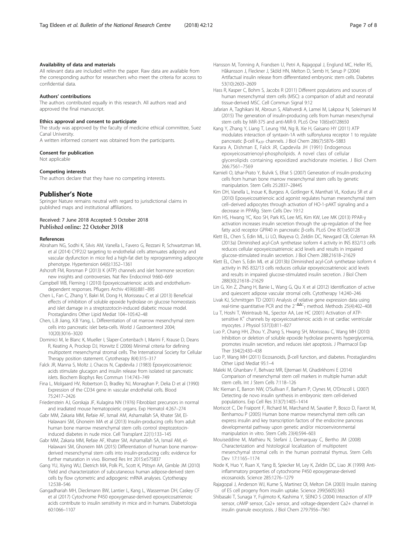#### <span id="page-6-0"></span>Availability of data and materials

All relevant data are included within the paper. Raw data are available from the corresponding author for researchers who meet the criteria for access to confidential data.

### Authors' contributions

The authors contributed equally in this research. All authors read and approved the final manuscript.

#### Ethics approval and consent to participate

The study was approved by the faculty of medicine ethical committee, Suez Canal University.

A written informed consent was obtained from the participants.

#### Consent for publication

Not applicable

#### Competing interests

The authors declare that they have no competing interests.

#### Publisher's Note

Springer Nature remains neutral with regard to jurisdictional claims in published maps and institutional affiliations.

### Received: 7 June 2018 Accepted: 5 October 2018 Published online: 22 October 2018

#### References

- Abraham NG, Sodhi K, Silvis AM, Vanella L, Favero G, Rezzani R, Schwartzman ML et al (2014) CYP2J2 targeting to endothelial cells attenuates adiposity and vascular dysfunction in mice fed a high-fat diet by reprogramming adipocyte phenotype. Hypertension 64(6):1352–1361
- Ashcroft FM, Rorsman P (2013) K (ATP) channels and islet hormone secretion: new insights and controversies. Nat Rev Endocrinol 9:660–669
- Campbell WB, Fleming I (2010) Epoxyeicosatrienoic acids and endotheliumdependent responses. Pflugers Archiv 459(6):881–895
- Chen L, Fan C, Zhang Y, Bakri M, Dong H, Morisseau C et al (2013) Beneficial effects of inhibition of soluble epoxide hydrolase on glucose homeostasis and islet damage in a streptozotocin-induced diabetic mouse model. Prostaglandins Other Lipid Mediat 104–105:42–48
- Chen, L.B Jiang, X.B Yang, L. Differentiation of rat marrow mesenchymal stem cells into pancreatic islet beta-cells. World J Gastroenterol 2004; 10(20):3016–3020
- Dominici M, le Blanc K, Mueller I, Slaper-Cortenbach I, Marini F, Krause D, Deans R, Keating A, Prockop DJ, Horwitz E (2006) Minimal criteria for defining multipotent mesenchymal stromal cells. The International Society for Cellular Therapy position statement. Cytotherapy 8(4):315–317
- Falck JR, Manna S, Moltz J, Chacos N, Capdevila J (1983) Epoxyeicosatrienoic acids stimulate glucagon and insulin release from isolated rat pancreatic islets. Biochem Biophys Res Commun 114:743–749
- Fina L, Molgaard HV, Robertson D, Bradley NJ, Monaghan P, Delia D et al (1990) Expression of the CD34 gene in vascular endothelial cells. Blood 75:2417–2426
- Friedenstein AJ, Gorskaja JF, Kulagina NN (1976) Fibroblast precursors in normal and irradiated mouse hematopoietic organs. Exp Hematol 4:267–274
- Gabr MM, Zakaria MM, Refaie AF, Ismail AM, Ashamallah SA, Khater SM, El-Halawani SM, Ghoneim MA et al (2013) Insulin-producing cells from adult human bone marrow mesenchymal stem cells control streptozotocininduced diabetes in nude mice. Cell Transplant 22(1):133–145
- Gabr MM, Zakaria MM, Refaie AF, Khater SM, Ashamallah SA, Ismail AM, el-Halawani SM, Ghoneim MA (2015) Differentiation of human bone marrowderived mesenchymal stem cells into insulin-producing cells: evidence for further maturation in vivo. Biomed Res Int 2015:e575837
- Gang YU, Xiying WU, Dietrich MA, Polk PL, Scott K, Ptitsyn AA, Gimble JM (2010) Yield and characterization of subcutaneous human adipose-derived stem cells by flow cytometric and adipogenic mRNA analyses. Cytotherapy 12:538–546
- Gangadhariah MH, Dieckmann BW, Lantier L, Kang L, Wasserman DH, Caskey CF et al (2017) Cytochrome P450 epoxygenase-derived epoxyeicosatrienoic acids contribute to insulin sensitivity in mice and in humans. Diabetologia 60:1066–1107
- Hansson M, Tonning A, Frandsen U, Petri A, Rajagopal J, Englund MC, Heller RS, Håkansson J, Fleckner J, Sköld HN, Melton D, Semb H, Serup P (2004) Artifactual insulin release from differentiated embryonic stem cells. Diabetes 53(10):2603–2609
- Hass R, Kasper C, Bohm S, Jacobs R (2011) Different populations and sources of human mesenchymal stem cells (MSC): a comparison of adult and neonatal tissue-derived MSC. Cell Commun Signal 9:12
- Jafarian A, Taghikani M, Abroun S, Allahverdi A, Lamei M, Lakpour N, Soleimani M (2015) The generation of insulin-producing cells from human mesenchymal stem cells by MiR-375 and anti-MiR-9. PLoS One 10(6):e0128650
- Kang Y, Zhang Y, Liang T, Leung YM, Ng B, Xie H, Gaisano HY (2011) ATP modulates interaction of syntaxin-1A with sulfonylurea receptor 1 to regulate pancreatic β-cell K<sub>ATP</sub> channels. J Biol Chem 286(7):5876-5883
- Karara A, Dishman E, Falck JR, Capdevila JH (1991) Endogenous epoxyeicosatrienoyl-phospholipids. A novel class of cellular glycerolipids containing epoxidized arachidonate moieties. J Biol Chem 266:7561–7569
- Karnieli O, Izhar-Prato Y, Bulvik S, Efrat S (2007) Generation of insulin-producing cells from human bone marrow mesenchymal stem cells by genetic manipulation. Stem Cells 25:2837–2844S
- Kim DH, Vanella L, Inoue K, Burgess A, Gotlinger K, Manthati VL, Koduru SR et al (2010) Epoxyeicosatrienoic acid agonist regulates human mesenchymal stem cell–derived adipocytes through activation of HO-1-pAKT signaling and a decrease in PPARg. Stem Cells Dev 19:12
- Kim HS, Hwang YC, Koo SH, Park KS, Lee MS, Kim KW, Lee MK (2013) PPAR-γ activation increases insulin secretion through the up-regulation of the free fatty acid receptor GPR40 in pancreatic β-cells. PLoS One 8(1):e50128
- Klett EL, Chen S, Edin ML, Li LO, Ilkayeva O, Zeldin DC, Newgard CB, Coleman RA (2013a) Diminished acyl-CoA synthetase isoform 4 activity in INS 832/13 cells reduces cellular epoxyeicosatrienoic acid levels and results in impaired glucose-stimulated insulin secretion. J Biol Chem 288:21618–21629
- Klett EL, Chen S, Edin ML et al (2013b) Diminished acyl-CoA synthetase isoform 4 activity in INS 832/13 cells reduces cellular epoxyeicosatrienoic acid levels and results in impaired glucose-stimulated insulin secretion. J Biol Chem 288(30):21618–21629
- Lin G, Xin Z, Zhang H, Banie L, Wang G, Qiu X et al (2012) Identification of active and quiescent adipose vascular stromal cells. Cytotherapy 14:240–246
- Livak KJ, Schmittgen TD (2001) Analysis of relative gene expression data using<br>real-time quantitative PCR and the 2<sup>−∆∆C</sup><sub>T</sub> method. Methods 25(4):402–408
- Lu T, Hoshi T, Weintraub NL, Spector AA, Lee HC (2001) Activation of ATPsensitive K<sup>+</sup> channels by epoxyeicosatrienoic acids in rat cardiac ventricular myocytes. J Physiol 537(3):811–827
- Luo P, Chang HH, Zhou Y, Zhang S, Hwang SH, Morisseau C, Wang MH (2010) Inhibition or deletion of soluble epoxide hydrolase prevents hyperglycemia, promotes insulin secretion, and reduces islet apoptosis. J Pharmacol Exp Ther 334(2):430–438
- Luo P, Wang MH (2011) Eicosanoids, β-cell function, and diabetes. Prostaglandins Other Lipid Mediat 95:1–4
- Maleki M, Ghanbarv F, Behvarz MR, Ejtemaei M, Ghadirkhomi E (2014) Comparison of mesenchymal stem cell markers in multiple human adult stem cells. Int J Stem Cells 7:118–126
- Mc Kiernan E, Barron NW, O'Sullivan F, Barham P, Clynes M, O'Driscoll L (2007) Detecting de novo insulin synthesis in embryonic stem cell-derived populations. Exp Cell Res 313(7):1405–1414
- Moriscot C, De Fraipont F, Richard M, Marchand M, Savatier P, Bosco D, Favrot M, Benhamou P (2005) Human bone marrow mesenchymal stem cells can express insulin and key transcription factors of the endocrine pancreas developmental pathway upon genetic and/or microenvironmental manipulation in vitro. Stem Cells 23(4):594–603
- Mouiseddine M, Mathieu N, Stefani J, Demarquay C, Bertho JM (2008) Characterization and histological localization of multipotent mesenchymal stromal cells in the human postnatal thymus. Stem Cells Dev 17:1165–1174
- Node K, Huo Y, Ruan X, Yang B, Spiecker M, Ley K, Zeldin DC, Liao JK (1999) Antiinflammatory properties of cytochrome P450 epoxygenase-derived eicosanoids. Science 285:1276–1279
- Rajagopal J, Anderson WJ, Kume S, Martinez OI, Melton DA (2003) Insulin staining of ES cell progeny from insulin uptake. Science 299(5605):363
- Shibasaki T, Sunaga Y, Fujimoto K, Kashima Y, SEINO S (2004) Interaction of ATP sensor, cAMP sensor, Ca2+ sensor, and voltage-dependent Ca2+ channel in insulin granule exocytosis. J Biol Chem 279:7956–7961